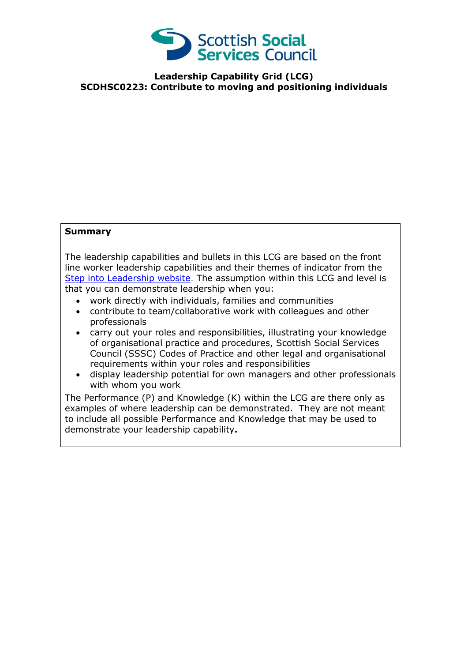

**Leadership Capability Grid (LCG) SCDHSC0223: Contribute to moving and positioning individuals**

## **Summary**

The leadership capabilities and bullets in this LCG are based on the front line worker leadership capabilities and their themes of indicator from the [Step into Leadership website.](http://www.stepintoleadership.info/) The assumption within this LCG and level is that you can demonstrate leadership when you:

- work directly with individuals, families and communities
- contribute to team/collaborative work with colleagues and other professionals
- carry out your roles and responsibilities, illustrating your knowledge of organisational practice and procedures, Scottish Social Services Council (SSSC) Codes of Practice and other legal and organisational requirements within your roles and responsibilities
- display leadership potential for own managers and other professionals with whom you work

The Performance (P) and Knowledge (K) within the LCG are there only as examples of where leadership can be demonstrated. They are not meant to include all possible Performance and Knowledge that may be used to demonstrate your leadership capability**.**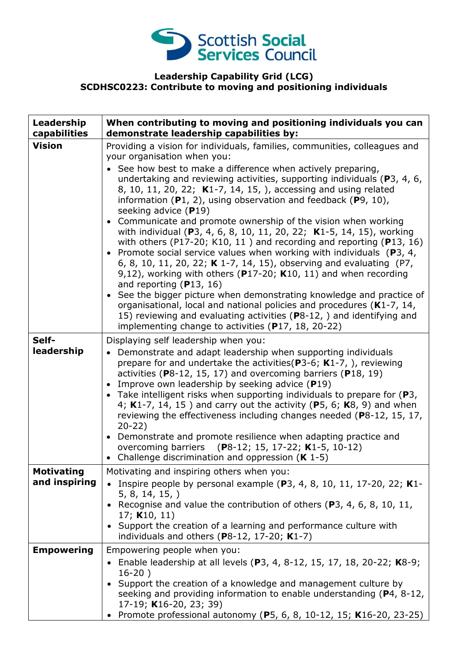

## **Leadership Capability Grid (LCG) SCDHSC0223: Contribute to moving and positioning individuals**

| Leadership<br>capabilities         | When contributing to moving and positioning individuals you can<br>demonstrate leadership capabilities by:                                                                                                                                                                                                                                                                                                                                                                                                                                                                                                                                                                                                                                                                                                                                                                                                                                                                                                                                                                                                                                                                       |
|------------------------------------|----------------------------------------------------------------------------------------------------------------------------------------------------------------------------------------------------------------------------------------------------------------------------------------------------------------------------------------------------------------------------------------------------------------------------------------------------------------------------------------------------------------------------------------------------------------------------------------------------------------------------------------------------------------------------------------------------------------------------------------------------------------------------------------------------------------------------------------------------------------------------------------------------------------------------------------------------------------------------------------------------------------------------------------------------------------------------------------------------------------------------------------------------------------------------------|
| <b>Vision</b>                      | Providing a vision for individuals, families, communities, colleagues and<br>your organisation when you:<br>• See how best to make a difference when actively preparing,<br>undertaking and reviewing activities, supporting individuals (P3, 4, 6,<br>8, 10, 11, 20, 22; K1-7, 14, 15, ), accessing and using related<br>information $(P1, 2)$ , using observation and feedback $(P9, 10)$ ,<br>seeking advice (P19)<br>• Communicate and promote ownership of the vision when working<br>with individual (P3, 4, 6, 8, 10, 11, 20, 22; K1-5, 14, 15), working<br>with others (P17-20; K10, 11) and recording and reporting (P13, 16)<br>• Promote social service values when working with individuals ( $P_3$ , 4,<br>6, 8, 10, 11, 20, 22; K 1-7, 14, 15), observing and evaluating (P7,<br>9,12), working with others ( $P17-20$ ; K10, 11) and when recording<br>and reporting $(P13, 16)$<br>• See the bigger picture when demonstrating knowledge and practice of<br>organisational, local and national policies and procedures (K1-7, 14,<br>15) reviewing and evaluating activities (P8-12, ) and identifying and<br>implementing change to activities (P17, 18, 20-22) |
| Self-<br>leadership                | Displaying self leadership when you:<br>Demonstrate and adapt leadership when supporting individuals<br>prepare for and undertake the activities (P3-6; $K1-7$ , ), reviewing<br>activities ( $P8-12$ , 15, 17) and overcoming barriers ( $P18$ , 19)<br>• Improve own leadership by seeking advice $(P19)$<br>• Take intelligent risks when supporting individuals to prepare for $(P3,$<br>4; K1-7, 14, 15) and carry out the activity (P5, 6; K8, 9) and when<br>reviewing the effectiveness including changes needed (P8-12, 15, 17,<br>$20-22)$<br>• Demonstrate and promote resilience when adapting practice and<br>overcoming barriers (P8-12; 15, 17-22; K1-5, 10-12)<br>• Challenge discrimination and oppression $(K 1-5)$                                                                                                                                                                                                                                                                                                                                                                                                                                            |
| <b>Motivating</b><br>and inspiring | Motivating and inspiring others when you:<br>Inspire people by personal example $(P3, 4, 8, 10, 11, 17-20, 22; K1$ -<br>$5, 8, 14, 15,$ )<br>• Recognise and value the contribution of others (P3, 4, 6, 8, 10, 11,<br>17; $K10, 11$<br>• Support the creation of a learning and performance culture with<br>individuals and others ( $P8-12$ , 17-20; $K1-7$ )                                                                                                                                                                                                                                                                                                                                                                                                                                                                                                                                                                                                                                                                                                                                                                                                                  |
| <b>Empowering</b>                  | Empowering people when you:<br>• Enable leadership at all levels (P3, 4, 8-12, 15, 17, 18, 20-22; K8-9;<br>$16-20)$<br>Support the creation of a knowledge and management culture by<br>seeking and providing information to enable understanding (P4, 8-12,<br>17-19; K16-20, 23; 39)<br>• Promote professional autonomy (P5, 6, 8, 10-12, 15; K16-20, 23-25)                                                                                                                                                                                                                                                                                                                                                                                                                                                                                                                                                                                                                                                                                                                                                                                                                   |